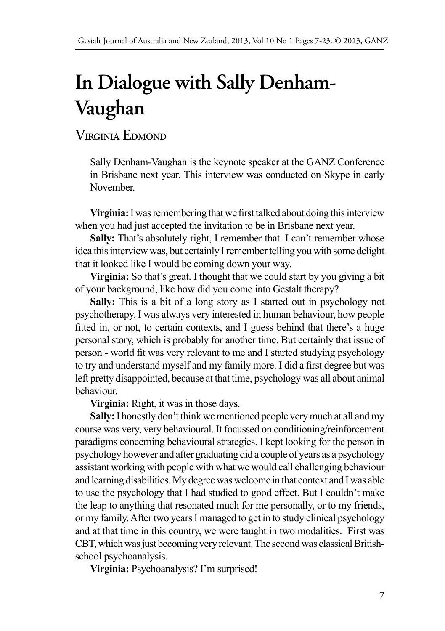# **In Dialogue with Sally Denham-Vaughan**

# Virginia Edmond

Sally Denham-Vaughan is the keynote speaker at the GANZ Conference in Brisbane next year. This interview was conducted on Skype in early November.

**Virginia:** I was remembering that we first talked about doing this interview when you had just accepted the invitation to be in Brisbane next year.

**Sally:** That's absolutely right, I remember that. I can't remember whose idea this interview was, but certainly I remember telling you with some delight that it looked like I would be coming down your way.

**Virginia:** So that's great. I thought that we could start by you giving a bit of your background, like how did you come into Gestalt therapy?

**Sally:** This is a bit of a long story as I started out in psychology not psychotherapy. I was always very interested in human behaviour, how people fitted in, or not, to certain contexts, and I guess behind that there's a huge personal story, which is probably for another time. But certainly that issue of person - world fit was very relevant to me and I started studying psychology to try and understand myself and my family more. I did a first degree but was left pretty disappointed, because at that time, psychology was all about animal behaviour.

**Virginia:** Right, it was in those days.

**Sally:** I honestly don't think we mentioned people very much at all and my course was very, very behavioural. It focussed on conditioning/reinforcement paradigms concerning behavioural strategies. I kept looking for the person in psychology however and after graduating did a couple of years as a psychology assistant working with people with what we would call challenging behaviour and learning disabilities. My degree was welcome in that context and I was able to use the psychology that I had studied to good effect. But I couldn't make the leap to anything that resonated much for me personally, or to my friends, or my family. After two years I managed to get in to study clinical psychology and at that time in this country, we were taught in two modalities. First was CBT, which was just becoming very relevant. The second was classical Britishschool psychoanalysis.

**Virginia:** Psychoanalysis? I'm surprised!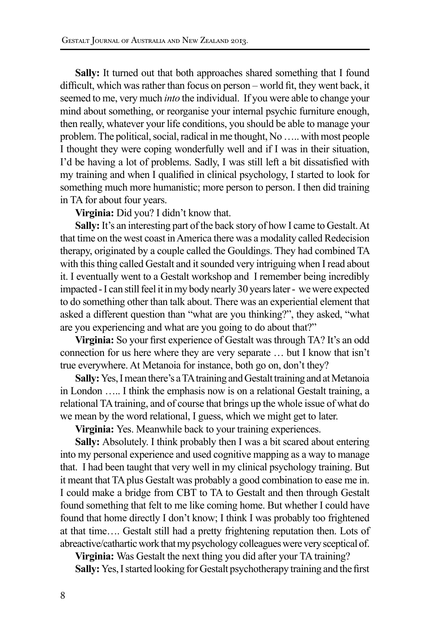**Sally:** It turned out that both approaches shared something that I found difficult, which was rather than focus on person – world fit, they went back, it seemed to me, very much *into* the individual. If you were able to change your mind about something, or reorganise your internal psychic furniture enough, then really, whatever your life conditions, you should be able to manage your problem. The political, social, radical in me thought, No ….. with most people I thought they were coping wonderfully well and if I was in their situation, I'd be having a lot of problems. Sadly, I was still left a bit dissatisfied with my training and when I qualified in clinical psychology, I started to look for something much more humanistic; more person to person. I then did training in TA for about four years.

**Virginia:** Did you? I didn't know that.

**Sally:** It's an interesting part of the back story of how I came to Gestalt. At that time on the west coast in America there was a modality called Redecision therapy, originated by a couple called the Gouldings. They had combined TA with this thing called Gestalt and it sounded very intriguing when I read about it. I eventually went to a Gestalt workshop and I remember being incredibly impacted - I can still feel it in my body nearly 30 years later - we were expected to do something other than talk about. There was an experiential element that asked a different question than "what are you thinking?", they asked, "what are you experiencing and what are you going to do about that?"

**Virginia:** So your first experience of Gestalt was through TA? It's an odd connection for us here where they are very separate … but I know that isn't true everywhere. At Metanoia for instance, both go on, don't they?

**Sally:** Yes, I mean there's a TA training and Gestalt training and at Metanoia in London ….. I think the emphasis now is on a relational Gestalt training, a relational TA training, and of course that brings up the whole issue of what do we mean by the word relational, I guess, which we might get to later.

**Virginia:** Yes. Meanwhile back to your training experiences.

**Sally:** Absolutely. I think probably then I was a bit scared about entering into my personal experience and used cognitive mapping as a way to manage that. I had been taught that very well in my clinical psychology training. But it meant that TA plus Gestalt was probably a good combination to ease me in. I could make a bridge from CBT to TA to Gestalt and then through Gestalt found something that felt to me like coming home. But whether I could have found that home directly I don't know; I think I was probably too frightened at that time…. Gestalt still had a pretty frightening reputation then. Lots of abreactive/cathartic work that my psychology colleagues were very sceptical of.

**Virginia:** Was Gestalt the next thing you did after your TA training? **Sally:** Yes, I started looking for Gestalt psychotherapy training and the first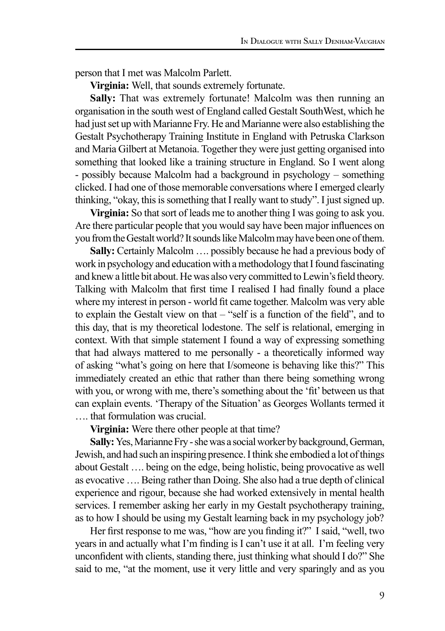person that I met was Malcolm Parlett.

**Virginia:** Well, that sounds extremely fortunate.

**Sally:** That was extremely fortunate! Malcolm was then running an organisation in the south west of England called Gestalt SouthWest, which he had just set up with Marianne Fry. He and Marianne were also establishing the Gestalt Psychotherapy Training Institute in England with Petruska Clarkson and Maria Gilbert at Metanoia. Together they were just getting organised into something that looked like a training structure in England. So I went along - possibly because Malcolm had a background in psychology – something clicked. I had one of those memorable conversations where I emerged clearly thinking, "okay, this is something that I really want to study". I just signed up.

**Virginia:** So that sort of leads me to another thing I was going to ask you. Are there particular people that you would say have been major influences on you from the Gestalt world? It sounds like Malcolm may have been one of them.

**Sally:** Certainly Malcolm …. possibly because he had a previous body of work in psychology and education with a methodology that I found fascinating and knew a little bit about. He was also very committed to Lewin's field theory. Talking with Malcolm that first time I realised I had finally found a place where my interest in person - world fit came together. Malcolm was very able to explain the Gestalt view on that – "self is a function of the field", and to this day, that is my theoretical lodestone. The self is relational, emerging in context. With that simple statement I found a way of expressing something that had always mattered to me personally - a theoretically informed way of asking "what's going on here that I/someone is behaving like this?" This immediately created an ethic that rather than there being something wrong with you, or wrong with me, there's something about the 'fit' between us that can explain events. 'Therapy of the Situation' as Georges Wollants termed it …. that formulation was crucial.

**Virginia:** Were there other people at that time?

**Sally:** Yes, Marianne Fry - she was a social worker by background, German, Jewish, and had such an inspiring presence. I think she embodied a lot of things about Gestalt …. being on the edge, being holistic, being provocative as well as evocative …. Being rather than Doing. She also had a true depth of clinical experience and rigour, because she had worked extensively in mental health services. I remember asking her early in my Gestalt psychotherapy training, as to how I should be using my Gestalt learning back in my psychology job?

Her first response to me was, "how are you finding it?" I said, "well, two years in and actually what I'm finding is I can't use it at all. I'm feeling very unconfident with clients, standing there, just thinking what should I do?" She said to me, "at the moment, use it very little and very sparingly and as you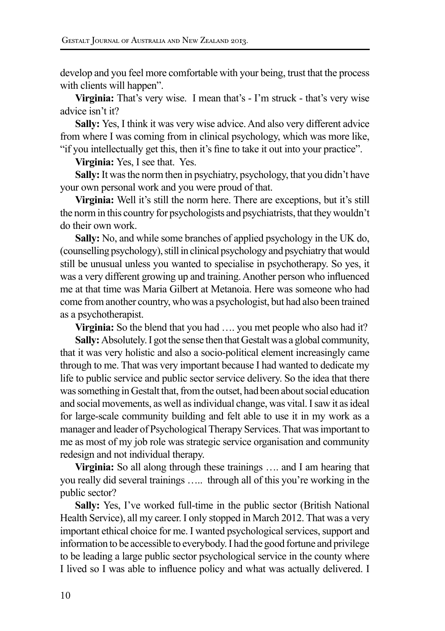develop and you feel more comfortable with your being, trust that the process with clients will happen".

**Virginia:** That's very wise. I mean that's - I'm struck - that's very wise advice isn't it?

**Sally:** Yes, I think it was very wise advice. And also very different advice from where I was coming from in clinical psychology, which was more like, "if you intellectually get this, then it's fine to take it out into your practice".

**Virginia:** Yes, I see that. Yes.

**Sally:** It was the norm then in psychiatry, psychology, that you didn't have your own personal work and you were proud of that.

**Virginia:** Well it's still the norm here. There are exceptions, but it's still the norm in this country for psychologists and psychiatrists, that they wouldn't do their own work.

**Sally:** No, and while some branches of applied psychology in the UK do, (counselling psychology), still in clinical psychology and psychiatry that would still be unusual unless you wanted to specialise in psychotherapy. So yes, it was a very different growing up and training. Another person who influenced me at that time was Maria Gilbert at Metanoia. Here was someone who had come from another country, who was a psychologist, but had also been trained as a psychotherapist.

**Virginia:** So the blend that you had .... you met people who also had it?

**Sally:** Absolutely. I got the sense then that Gestalt was a global community, that it was very holistic and also a socio-political element increasingly came through to me. That was very important because I had wanted to dedicate my life to public service and public sector service delivery. So the idea that there was something in Gestalt that, from the outset, had been about social education and social movements, as well as individual change, was vital. I saw it as ideal for large-scale community building and felt able to use it in my work as a manager and leader of Psychological Therapy Services. That was important to me as most of my job role was strategic service organisation and community redesign and not individual therapy.

**Virginia:** So all along through these trainings …. and I am hearing that you really did several trainings ….. through all of this you're working in the public sector?

**Sally:** Yes, I've worked full-time in the public sector (British National Health Service), all my career. I only stopped in March 2012. That was a very important ethical choice for me. I wanted psychological services, support and information to be accessible to everybody. I had the good fortune and privilege to be leading a large public sector psychological service in the county where I lived so I was able to influence policy and what was actually delivered. I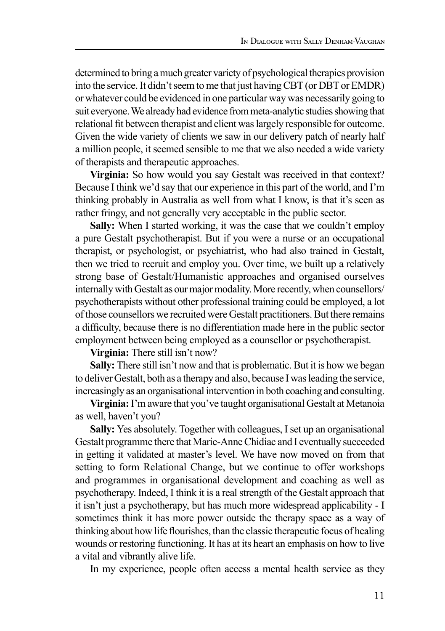determined to bring a much greater variety of psychological therapies provision into the service. It didn't seem to me that just having CBT (or DBT or EMDR) or whatever could be evidenced in one particular way was necessarily going to suit everyone. We already had evidence from meta-analytic studies showing that relational fit between therapist and client was largely responsible for outcome. Given the wide variety of clients we saw in our delivery patch of nearly half a million people, it seemed sensible to me that we also needed a wide variety of therapists and therapeutic approaches.

**Virginia:** So how would you say Gestalt was received in that context? Because I think we'd say that our experience in this part of the world, and I'm thinking probably in Australia as well from what I know, is that it's seen as rather fringy, and not generally very acceptable in the public sector.

**Sally:** When I started working, it was the case that we couldn't employ a pure Gestalt psychotherapist. But if you were a nurse or an occupational therapist, or psychologist, or psychiatrist, who had also trained in Gestalt, then we tried to recruit and employ you. Over time, we built up a relatively strong base of Gestalt/Humanistic approaches and organised ourselves internally with Gestalt as our major modality. More recently, when counsellors/ psychotherapists without other professional training could be employed, a lot of those counsellors we recruited were Gestalt practitioners. But there remains a difficulty, because there is no differentiation made here in the public sector employment between being employed as a counsellor or psychotherapist.

**Virginia:** There still isn't now?

**Sally:** There still isn't now and that is problematic. But it is how we began to deliver Gestalt, both as a therapy and also, because I was leading the service, increasingly as an organisational intervention in both coaching and consulting.

**Virginia:** I'm aware that you've taught organisational Gestalt at Metanoia as well, haven't you?

**Sally:** Yes absolutely. Together with colleagues, I set up an organisational Gestalt programme there that Marie-Anne Chidiac and I eventually succeeded in getting it validated at master's level. We have now moved on from that setting to form Relational Change, but we continue to offer workshops and programmes in organisational development and coaching as well as psychotherapy. Indeed, I think it is a real strength of the Gestalt approach that it isn't just a psychotherapy, but has much more widespread applicability - I sometimes think it has more power outside the therapy space as a way of thinking about how life flourishes, than the classic therapeutic focus of healing wounds or restoring functioning. It has at its heart an emphasis on how to live a vital and vibrantly alive life.

In my experience, people often access a mental health service as they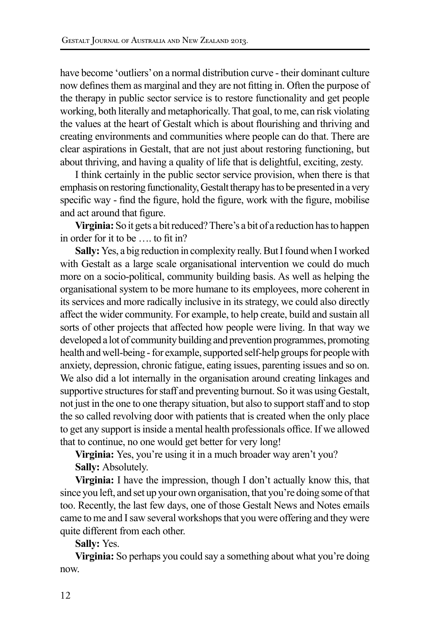have become 'outliers' on a normal distribution curve - their dominant culture now defines them as marginal and they are not fitting in. Often the purpose of the therapy in public sector service is to restore functionality and get people working, both literally and metaphorically. That goal, to me, can risk violating the values at the heart of Gestalt which is about flourishing and thriving and creating environments and communities where people can do that. There are clear aspirations in Gestalt, that are not just about restoring functioning, but about thriving, and having a quality of life that is delightful, exciting, zesty.

I think certainly in the public sector service provision, when there is that emphasis on restoring functionality, Gestalt therapy has to be presented in a very specific way - find the figure, hold the figure, work with the figure, mobilise and act around that figure.

**Virginia:** So it gets a bit reduced? There's a bit of a reduction has to happen in order for it to be …. to fit in?

**Sally:** Yes, a big reduction in complexity really. But I found when I worked with Gestalt as a large scale organisational intervention we could do much more on a socio-political, community building basis. As well as helping the organisational system to be more humane to its employees, more coherent in its services and more radically inclusive in its strategy, we could also directly affect the wider community. For example, to help create, build and sustain all sorts of other projects that affected how people were living. In that way we developed a lot of community building and prevention programmes, promoting health and well-being - for example, supported self-help groups for people with anxiety, depression, chronic fatigue, eating issues, parenting issues and so on. We also did a lot internally in the organisation around creating linkages and supportive structures for staff and preventing burnout. So it was using Gestalt, not just in the one to one therapy situation, but also to support staff and to stop the so called revolving door with patients that is created when the only place to get any support is inside a mental health professionals office. If we allowed that to continue, no one would get better for very long!

**Virginia:** Yes, you're using it in a much broader way aren't you? Sally: Absolutely.

**Virginia:** I have the impression, though I don't actually know this, that since you left, and set up your own organisation, that you're doing some of that too. Recently, the last few days, one of those Gestalt News and Notes emails came to me and I saw several workshops that you were offering and they were quite different from each other.

**Sally:** Yes.

**Virginia:** So perhaps you could say a something about what you're doing now.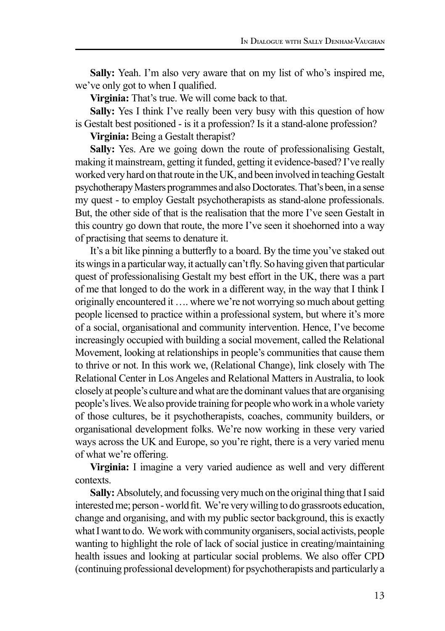**Sally:** Yeah. I'm also very aware that on my list of who's inspired me, we've only got to when I qualified.

**Virginia:** That's true. We will come back to that.

**Sally:** Yes I think I've really been very busy with this question of how is Gestalt best positioned - is it a profession? Is it a stand-alone profession?

**Virginia:** Being a Gestalt therapist?

**Sally:** Yes. Are we going down the route of professionalising Gestalt, making it mainstream, getting it funded, getting it evidence-based? I've really worked very hard on that route in the UK, and been involved in teaching Gestalt psychotherapy Masters programmes and also Doctorates. That's been, in a sense my quest - to employ Gestalt psychotherapists as stand-alone professionals. But, the other side of that is the realisation that the more I've seen Gestalt in this country go down that route, the more I've seen it shoehorned into a way of practising that seems to denature it.

It's a bit like pinning a butterfly to a board. By the time you've staked out its wings in a particular way, it actually can't fly. So having given that particular quest of professionalising Gestalt my best effort in the UK, there was a part of me that longed to do the work in a different way, in the way that I think I originally encountered it …. where we're not worrying so much about getting people licensed to practice within a professional system, but where it's more of a social, organisational and community intervention. Hence, I've become increasingly occupied with building a social movement, called the Relational Movement, looking at relationships in people's communities that cause them to thrive or not. In this work we, (Relational Change), link closely with The Relational Center in Los Angeles and Relational Matters in Australia, to look closely at people's culture and what are the dominant values that are organising people's lives. We also provide training for people who work in a whole variety of those cultures, be it psychotherapists, coaches, community builders, or organisational development folks. We're now working in these very varied ways across the UK and Europe, so you're right, there is a very varied menu of what we're offering.

**Virginia:** I imagine a very varied audience as well and very different contexts.

**Sally:** Absolutely, and focussing very much on the original thing that I said interested me; person - world fit. We're very willing to do grassroots education, change and organising, and with my public sector background, this is exactly what I want to do. We work with community organisers, social activists, people wanting to highlight the role of lack of social justice in creating/maintaining health issues and looking at particular social problems. We also offer CPD (continuing professional development) for psychotherapists and particularly a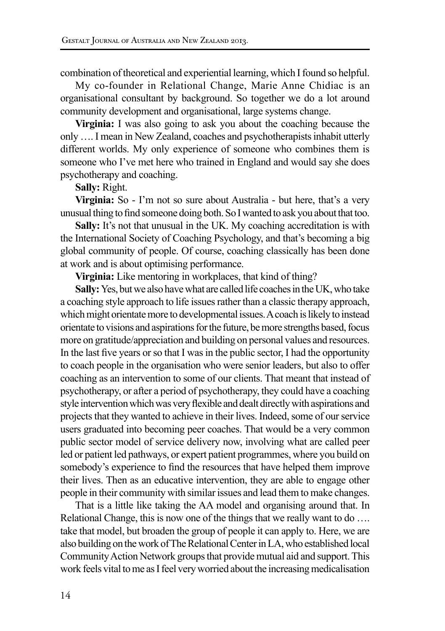combination of theoretical and experiential learning, which I found so helpful.

My co-founder in Relational Change, Marie Anne Chidiac is an organisational consultant by background. So together we do a lot around community development and organisational, large systems change.

**Virginia:** I was also going to ask you about the coaching because the only …. I mean in New Zealand, coaches and psychotherapists inhabit utterly different worlds. My only experience of someone who combines them is someone who I've met here who trained in England and would say she does psychotherapy and coaching.

#### **Sally:** Right.

**Virginia:** So - I'm not so sure about Australia - but here, that's a very unusual thing to find someone doing both. So I wanted to ask you about that too.

**Sally:** It's not that unusual in the UK. My coaching accreditation is with the International Society of Coaching Psychology, and that's becoming a big global community of people. Of course, coaching classically has been done at work and is about optimising performance.

**Virginia:** Like mentoring in workplaces, that kind of thing?

**Sally:** Yes, but we also have what are called life coaches in the UK, who take a coaching style approach to life issues rather than a classic therapy approach, which might orientate more to developmental issues. A coach is likely to instead orientate to visions and aspirations for the future, be more strengths based, focus more on gratitude/appreciation and building on personal values and resources. In the last five years or so that I was in the public sector, I had the opportunity to coach people in the organisation who were senior leaders, but also to offer coaching as an intervention to some of our clients. That meant that instead of psychotherapy, or after a period of psychotherapy, they could have a coaching style intervention which was very flexible and dealt directly with aspirations and projects that they wanted to achieve in their lives. Indeed, some of our service users graduated into becoming peer coaches. That would be a very common public sector model of service delivery now, involving what are called peer led or patient led pathways, or expert patient programmes, where you build on somebody's experience to find the resources that have helped them improve their lives. Then as an educative intervention, they are able to engage other people in their community with similar issues and lead them to make changes.

That is a little like taking the AA model and organising around that. In Relational Change, this is now one of the things that we really want to do …. take that model, but broaden the group of people it can apply to. Here, we are also building on the work of The Relational Center in LA, who established local Community Action Network groups that provide mutual aid and support. This work feels vital to me as I feel very worried about the increasing medicalisation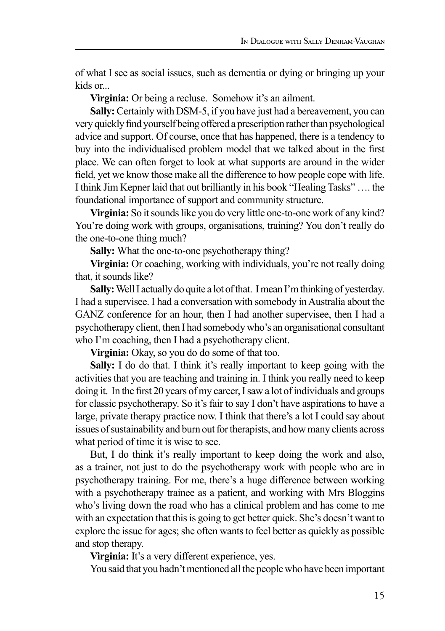of what I see as social issues, such as dementia or dying or bringing up your kids or...

**Virginia:** Or being a recluse. Somehow it's an ailment.

**Sally:** Certainly with DSM-5, if you have just had a bereavement, you can very quickly find yourself being offered a prescription rather than psychological advice and support. Of course, once that has happened, there is a tendency to buy into the individualised problem model that we talked about in the first place. We can often forget to look at what supports are around in the wider field, yet we know those make all the difference to how people cope with life. I think Jim Kepner laid that out brilliantly in his book "Healing Tasks" …. the foundational importance of support and community structure.

**Virginia:** So it sounds like you do very little one-to-one work of any kind? You're doing work with groups, organisations, training? You don't really do the one-to-one thing much?

**Sally:** What the one-to-one psychotherapy thing?

**Virginia:** Or coaching, working with individuals, you're not really doing that, it sounds like?

**Sally:** Well I actually do quite a lot of that. I mean I'm thinking of yesterday. I had a supervisee. I had a conversation with somebody in Australia about the GANZ conference for an hour, then I had another supervisee, then I had a psychotherapy client, then I had somebody who's an organisational consultant who I'm coaching, then I had a psychotherapy client.

**Virginia:** Okay, so you do do some of that too.

**Sally:** I do do that. I think it's really important to keep going with the activities that you are teaching and training in. I think you really need to keep doing it. In the first 20 years of my career, I saw a lot of individuals and groups for classic psychotherapy. So it's fair to say I don't have aspirations to have a large, private therapy practice now. I think that there's a lot I could say about issues of sustainability and burn out for therapists, and how many clients across what period of time it is wise to see.

But, I do think it's really important to keep doing the work and also, as a trainer, not just to do the psychotherapy work with people who are in psychotherapy training. For me, there's a huge difference between working with a psychotherapy trainee as a patient, and working with Mrs Bloggins who's living down the road who has a clinical problem and has come to me with an expectation that this is going to get better quick. She's doesn't want to explore the issue for ages; she often wants to feel better as quickly as possible and stop therapy.

**Virginia:** It's a very different experience, yes.

You said that you hadn't mentioned all the people who have been important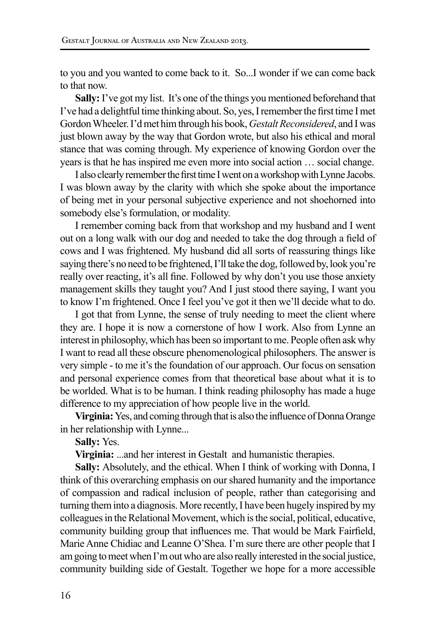to you and you wanted to come back to it. So...I wonder if we can come back to that now.

**Sally:** I've got my list. It's one of the things you mentioned beforehand that I've had a delightful time thinking about. So, yes, I remember the first time I met Gordon Wheeler. I'd met him through his book, *Gestalt Reconsidered*, and I was just blown away by the way that Gordon wrote, but also his ethical and moral stance that was coming through. My experience of knowing Gordon over the years is that he has inspired me even more into social action … social change.

I also clearly remember the first time I went on a workshop with Lynne Jacobs. I was blown away by the clarity with which she spoke about the importance of being met in your personal subjective experience and not shoehorned into somebody else's formulation, or modality.

I remember coming back from that workshop and my husband and I went out on a long walk with our dog and needed to take the dog through a field of cows and I was frightened. My husband did all sorts of reassuring things like saying there's no need to be frightened, I'll take the dog, followed by, look you're really over reacting, it's all fine. Followed by why don't you use those anxiety management skills they taught you? And I just stood there saying, I want you to know I'm frightened. Once I feel you've got it then we'll decide what to do.

I got that from Lynne, the sense of truly needing to meet the client where they are. I hope it is now a cornerstone of how I work. Also from Lynne an interest in philosophy, which has been so important to me. People often ask why I want to read all these obscure phenomenological philosophers. The answer is very simple - to me it's the foundation of our approach. Our focus on sensation and personal experience comes from that theoretical base about what it is to be worlded. What is to be human. I think reading philosophy has made a huge difference to my appreciation of how people live in the world.

**Virginia:** Yes, and coming through that is also the influence of Donna Orange in her relationship with Lynne...

**Sally:** Yes.

**Virginia:** ...and her interest in Gestalt and humanistic therapies.

Sally: Absolutely, and the ethical. When I think of working with Donna, I think of this overarching emphasis on our shared humanity and the importance of compassion and radical inclusion of people, rather than categorising and turning them into a diagnosis. More recently, I have been hugely inspired by my colleagues in the Relational Movement, which is the social, political, educative, community building group that influences me. That would be Mark Fairfield, Marie Anne Chidiac and Leanne O'Shea. I'm sure there are other people that I am going to meet when I'm out who are also really interested in the social justice, community building side of Gestalt. Together we hope for a more accessible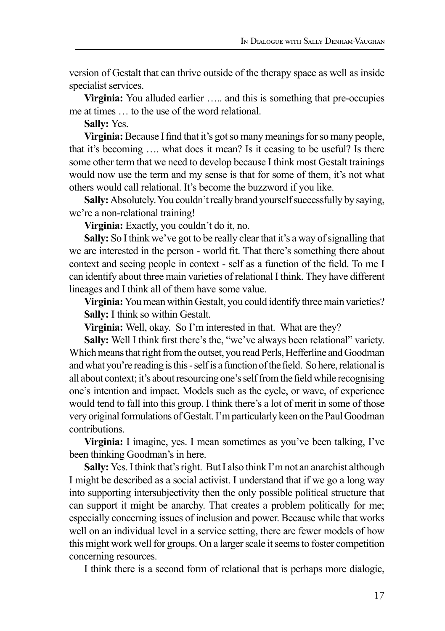version of Gestalt that can thrive outside of the therapy space as well as inside specialist services.

**Virginia:** You alluded earlier ..... and this is something that pre-occupies me at times … to the use of the word relational.

**Sally:** Yes.

**Virginia:** Because I find that it's got so many meanings for so many people, that it's becoming …. what does it mean? Is it ceasing to be useful? Is there some other term that we need to develop because I think most Gestalt trainings would now use the term and my sense is that for some of them, it's not what others would call relational. It's become the buzzword if you like.

**Sally:** Absolutely. You couldn't really brand yourself successfully by saying, we're a non-relational training!

**Virginia:** Exactly, you couldn't do it, no.

**Sally:** So I think we've got to be really clear that it's a way of signalling that we are interested in the person - world fit. That there's something there about context and seeing people in context - self as a function of the field. To me I can identify about three main varieties of relational I think. They have different lineages and I think all of them have some value.

**Virginia:** You mean within Gestalt, you could identify three main varieties? **Sally:** I think so within Gestalt.

**Virginia:** Well, okay. So I'm interested in that. What are they?

Sally: Well I think first there's the, "we've always been relational" variety. Which means that right from the outset, you read Perls, Hefferline and Goodman and what you're reading is this - self is a function of the field. So here, relational is all about context; it's about resourcing one's self from the field while recognising one's intention and impact. Models such as the cycle, or wave, of experience would tend to fall into this group. I think there's a lot of merit in some of those very original formulations of Gestalt. I'm particularly keen on the Paul Goodman contributions.

**Virginia:** I imagine, yes. I mean sometimes as you've been talking, I've been thinking Goodman's in here.

**Sally:** Yes. I think that's right. But I also think I'm not an anarchist although I might be described as a social activist. I understand that if we go a long way into supporting intersubjectivity then the only possible political structure that can support it might be anarchy. That creates a problem politically for me; especially concerning issues of inclusion and power. Because while that works well on an individual level in a service setting, there are fewer models of how this might work well for groups. On a larger scale it seems to foster competition concerning resources.

I think there is a second form of relational that is perhaps more dialogic,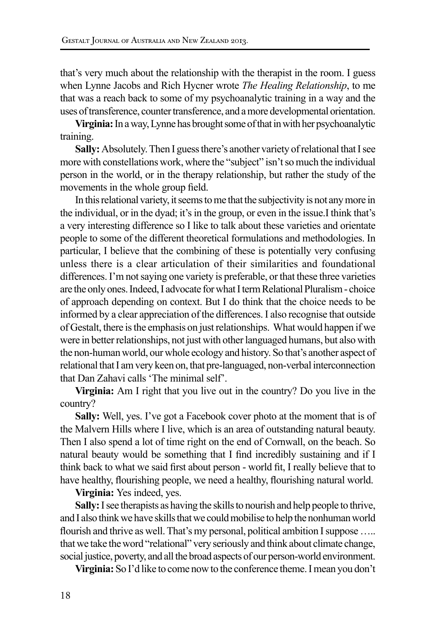that's very much about the relationship with the therapist in the room. I guess when Lynne Jacobs and Rich Hycner wrote *The Healing Relationship*, to me that was a reach back to some of my psychoanalytic training in a way and the uses of transference, counter transference, and a more developmental orientation.

**Virginia:** In a way, Lynne has brought some of that in with her psychoanalytic training.

**Sally:** Absolutely. Then I guess there's another variety of relational that I see more with constellations work, where the "subject" isn't so much the individual person in the world, or in the therapy relationship, but rather the study of the movements in the whole group field.

In this relational variety, it seems to me that the subjectivity is not any more in the individual, or in the dyad; it's in the group, or even in the issue.I think that's a very interesting difference so I like to talk about these varieties and orientate people to some of the different theoretical formulations and methodologies. In particular, I believe that the combining of these is potentially very confusing unless there is a clear articulation of their similarities and foundational differences. I'm not saying one variety is preferable, or that these three varieties are the only ones. Indeed, I advocate for what I term Relational Pluralism - choice of approach depending on context. But I do think that the choice needs to be informed by a clear appreciation of the differences. I also recognise that outside of Gestalt, there is the emphasis on just relationships. What would happen if we were in better relationships, not just with other languaged humans, but also with the non-human world, our whole ecology and history. So that's another aspect of relational that I am very keen on, that pre-languaged, non-verbal interconnection that Dan Zahavi calls 'The minimal self'.

**Virginia:** Am I right that you live out in the country? Do you live in the country?

**Sally:** Well, yes. I've got a Facebook cover photo at the moment that is of the Malvern Hills where I live, which is an area of outstanding natural beauty. Then I also spend a lot of time right on the end of Cornwall, on the beach. So natural beauty would be something that I find incredibly sustaining and if I think back to what we said first about person - world fit, I really believe that to have healthy, flourishing people, we need a healthy, flourishing natural world.

**Virginia:** Yes indeed, yes.

**Sally:** I see therapists as having the skills to nourish and help people to thrive, and I also think we have skills that we could mobilise to help the nonhuman world flourish and thrive as well. That's my personal, political ambition I suppose ….. that we take the word "relational" very seriously and think about climate change, social justice, poverty, and all the broad aspects of our person-world environment.

**Virginia:** So I'd like to come now to the conference theme. I mean you don't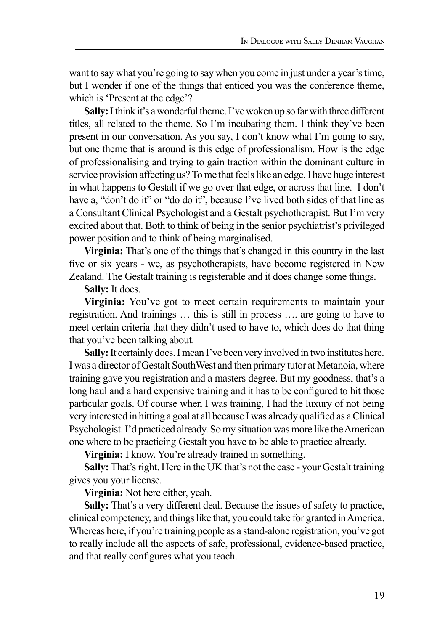want to say what you're going to say when you come in just under a year's time, but I wonder if one of the things that enticed you was the conference theme, which is 'Present at the edge'?

**Sally:** I think it's a wonderful theme. I've woken up so far with three different titles, all related to the theme. So I'm incubating them. I think they've been present in our conversation. As you say, I don't know what I'm going to say, but one theme that is around is this edge of professionalism. How is the edge of professionalising and trying to gain traction within the dominant culture in service provision affecting us? To me that feels like an edge. I have huge interest in what happens to Gestalt if we go over that edge, or across that line. I don't have a, "don't do it" or "do do it", because I've lived both sides of that line as a Consultant Clinical Psychologist and a Gestalt psychotherapist. But I'm very excited about that. Both to think of being in the senior psychiatrist's privileged power position and to think of being marginalised.

**Virginia:** That's one of the things that's changed in this country in the last five or six years - we, as psychotherapists, have become registered in New Zealand. The Gestalt training is registerable and it does change some things.

**Sally:** It does.

**Virginia:** You've got to meet certain requirements to maintain your registration. And trainings … this is still in process …. are going to have to meet certain criteria that they didn't used to have to, which does do that thing that you've been talking about.

**Sally:** It certainly does. I mean I've been very involved in two institutes here. I was a director of Gestalt SouthWest and then primary tutor at Metanoia, where training gave you registration and a masters degree. But my goodness, that's a long haul and a hard expensive training and it has to be configured to hit those particular goals. Of course when I was training, I had the luxury of not being very interested in hitting a goal at all because I was already qualified as a Clinical Psychologist. I'd practiced already. So my situation was more like the American one where to be practicing Gestalt you have to be able to practice already.

**Virginia:** I know. You're already trained in something.

**Sally:** That's right. Here in the UK that's not the case - your Gestalt training gives you your license.

**Virginia:** Not here either, yeah.

**Sally:** That's a very different deal. Because the issues of safety to practice, clinical competency, and things like that, you could take for granted in America. Whereas here, if you're training people as a stand-alone registration, you've got to really include all the aspects of safe, professional, evidence-based practice, and that really configures what you teach.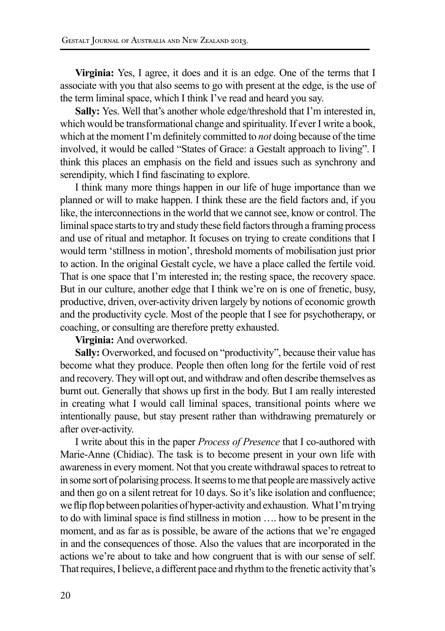**Virginia:** Yes, I agree, it does and it is an edge. One of the terms that I associate with you that also seems to go with present at the edge, is the use of the term liminal space, which I think I've read and heard you say.

**Sally:** Yes. Well that's another whole edge/threshold that I'm interested in, which would be transformational change and spirituality. If ever I write a book, which at the moment I'm definitely committed to *not* doing because of the time involved, it would be called "States of Grace: a Gestalt approach to living". I think this places an emphasis on the field and issues such as synchrony and serendipity, which I find fascinating to explore.

I think many more things happen in our life of huge importance than we planned or will to make happen. I think these are the field factors and, if you like, the interconnections in the world that we cannot see, know or control. The liminal space starts to try and study these field factors through a framing process and use of ritual and metaphor. It focuses on trying to create conditions that I would term 'stillness in motion', threshold moments of mobilisation just prior to action. In the original Gestalt cycle, we have a place called the fertile void. That is one space that I'm interested in; the resting space, the recovery space. But in our culture, another edge that I think we're on is one of frenetic, busy, productive, driven, over-activity driven largely by notions of economic growth and the productivity cycle. Most of the people that I see for psychotherapy, or coaching, or consulting are therefore pretty exhausted.

**Virginia:** And overworked.

**Sally:** Overworked, and focused on "productivity", because their value has become what they produce. People then often long for the fertile void of rest and recovery. They will opt out, and withdraw and often describe themselves as burnt out. Generally that shows up first in the body. But I am really interested in creating what I would call liminal spaces, transitional points where we intentionally pause, but stay present rather than withdrawing prematurely or after over-activity.

I write about this in the paper *Process of Presence* that I co-authored with Marie-Anne (Chidiac). The task is to become present in your own life with awareness in every moment. Not that you create withdrawal spaces to retreat to in some sort of polarising process. It seems to me that people are massively active and then go on a silent retreat for 10 days. So it's like isolation and confluence; we flip flop between polarities of hyper-activity and exhaustion. What I'm trying to do with liminal space is find stillness in motion …. how to be present in the moment, and as far as is possible, be aware of the actions that we're engaged in and the consequences of those. Also the values that are incorporated in the actions we're about to take and how congruent that is with our sense of self. That requires, I believe, a different pace and rhythm to the frenetic activity that's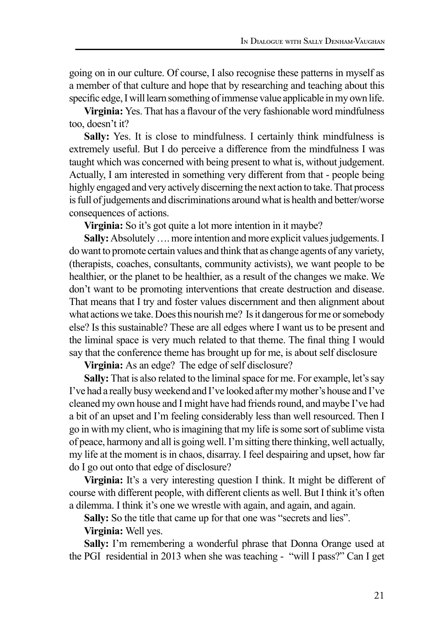going on in our culture. Of course, I also recognise these patterns in myself as a member of that culture and hope that by researching and teaching about this specific edge, I will learn something of immense value applicable in my own life.

**Virginia:** Yes. That has a flavour of the very fashionable word mindfulness too, doesn't it?

Sally: Yes. It is close to mindfulness. I certainly think mindfulness is extremely useful. But I do perceive a difference from the mindfulness I was taught which was concerned with being present to what is, without judgement. Actually, I am interested in something very different from that - people being highly engaged and very actively discerning the next action to take. That process is full of judgements and discriminations around what is health and better/worse consequences of actions.

**Virginia:** So it's got quite a lot more intention in it maybe?

**Sally:** Absolutely …. more intention and more explicit values judgements. I do want to promote certain values and think that as change agents of any variety, (therapists, coaches, consultants, community activists), we want people to be healthier, or the planet to be healthier, as a result of the changes we make. We don't want to be promoting interventions that create destruction and disease. That means that I try and foster values discernment and then alignment about what actions we take. Does this nourish me? Is it dangerous for me or somebody else? Is this sustainable? These are all edges where I want us to be present and the liminal space is very much related to that theme. The final thing I would say that the conference theme has brought up for me, is about self disclosure

**Virginia:** As an edge? The edge of self disclosure?

**Sally:** That is also related to the liminal space for me. For example, let's say I've had a really busy weekend and I've looked after my mother's house and I've cleaned my own house and I might have had friends round, and maybe I've had a bit of an upset and I'm feeling considerably less than well resourced. Then I go in with my client, who is imagining that my life is some sort of sublime vista of peace, harmony and all is going well. I'm sitting there thinking, well actually, my life at the moment is in chaos, disarray. I feel despairing and upset, how far do I go out onto that edge of disclosure?

**Virginia:** It's a very interesting question I think. It might be different of course with different people, with different clients as well. But I think it's often a dilemma. I think it's one we wrestle with again, and again, and again.

**Sally:** So the title that came up for that one was "secrets and lies".

**Virginia:** Well yes.

Sally: I'm remembering a wonderful phrase that Donna Orange used at the PGI residential in 2013 when she was teaching - "will I pass?" Can I get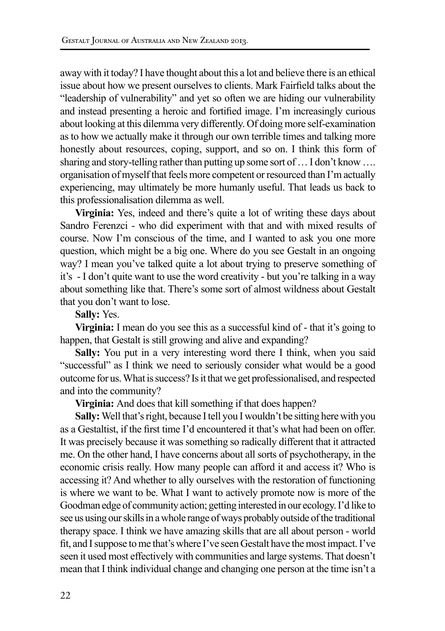away with it today? I have thought about this a lot and believe there is an ethical issue about how we present ourselves to clients. Mark Fairfield talks about the "leadership of vulnerability" and yet so often we are hiding our vulnerability and instead presenting a heroic and fortified image. I'm increasingly curious about looking at this dilemma very differently. Of doing more self-examination as to how we actually make it through our own terrible times and talking more honestly about resources, coping, support, and so on. I think this form of sharing and story-telling rather than putting up some sort of … I don't know …. organisation of myself that feels more competent or resourced than I'm actually experiencing, may ultimately be more humanly useful. That leads us back to this professionalisation dilemma as well.

**Virginia:** Yes, indeed and there's quite a lot of writing these days about Sandro Ferenzci - who did experiment with that and with mixed results of course. Now I'm conscious of the time, and I wanted to ask you one more question, which might be a big one. Where do you see Gestalt in an ongoing way? I mean you've talked quite a lot about trying to preserve something of it's - I don't quite want to use the word creativity - but you're talking in a way about something like that. There's some sort of almost wildness about Gestalt that you don't want to lose.

#### **Sally:** Yes.

**Virginia:** I mean do you see this as a successful kind of - that it's going to happen, that Gestalt is still growing and alive and expanding?

**Sally:** You put in a very interesting word there I think, when you said "successful" as I think we need to seriously consider what would be a good outcome for us. What is success? Is it that we get professionalised, and respected and into the community?

## **Virginia:** And does that kill something if that does happen?

**Sally:** Well that's right, because I tell you I wouldn't be sitting here with you as a Gestaltist, if the first time I'd encountered it that's what had been on offer. It was precisely because it was something so radically different that it attracted me. On the other hand, I have concerns about all sorts of psychotherapy, in the economic crisis really. How many people can afford it and access it? Who is accessing it? And whether to ally ourselves with the restoration of functioning is where we want to be. What I want to actively promote now is more of the Goodman edge of community action; getting interested in our ecology. I'd like to see us using our skills in a whole range of ways probably outside of the traditional therapy space. I think we have amazing skills that are all about person - world fit, and I suppose to me that's where I've seen Gestalt have the most impact. I've seen it used most effectively with communities and large systems. That doesn't mean that I think individual change and changing one person at the time isn't a